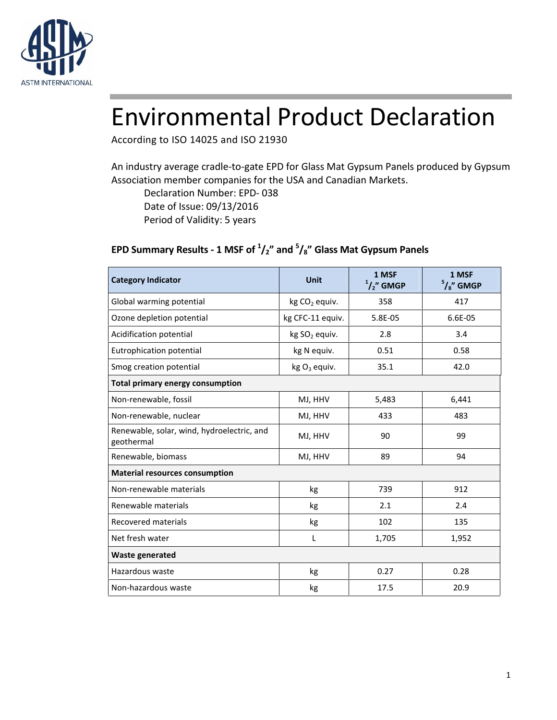

# Environmental Product Declaration

According to ISO 14025 and ISO 21930

An industry average cradle-to-gate EPD for Glass Mat Gypsum Panels produced by Gypsum Association member companies for the USA and Canadian Markets.

Declaration Number: EPD- 038

Date of Issue: 09/13/2016

Period of Validity: 5 years

### **EPD Summary Results - 1 MSF of <sup>1</sup>/2" and <sup>5</sup>/8" Glass Mat Gypsum Panels**

| <b>Category Indicator</b>                                | <b>Unit</b>      | 1 MSF<br>$1/2$ " GMGP | 1 MSF<br>$5/8$ " GMGP |  |  |
|----------------------------------------------------------|------------------|-----------------------|-----------------------|--|--|
| Global warming potential                                 | $kg CO2$ equiv.  | 358                   | 417                   |  |  |
| Ozone depletion potential                                | kg CFC-11 equiv. | 5.8E-05               | 6.6E-05               |  |  |
| Acidification potential                                  | $kg SO2$ equiv.  | 2.8                   | 3.4                   |  |  |
| Eutrophication potential                                 | kg N equiv.      | 0.51                  | 0.58                  |  |  |
| Smog creation potential                                  | kg $O_3$ equiv.  | 35.1                  | 42.0                  |  |  |
| <b>Total primary energy consumption</b>                  |                  |                       |                       |  |  |
| Non-renewable, fossil                                    | MJ, HHV          | 5,483                 | 6,441                 |  |  |
| Non-renewable, nuclear                                   | MJ, HHV          | 433                   | 483                   |  |  |
| Renewable, solar, wind, hydroelectric, and<br>geothermal | MJ, HHV          | 90                    | 99                    |  |  |
| Renewable, biomass                                       | MJ, HHV          | 89                    | 94                    |  |  |
| <b>Material resources consumption</b>                    |                  |                       |                       |  |  |
| Non-renewable materials                                  | kg               | 739                   | 912                   |  |  |
| Renewable materials                                      | kg               | 2.1                   | 2.4                   |  |  |
| <b>Recovered materials</b>                               | kg               | 102                   | 135                   |  |  |
| Net fresh water                                          | L                | 1,705                 | 1,952                 |  |  |
| <b>Waste generated</b>                                   |                  |                       |                       |  |  |
| Hazardous waste                                          | kg               | 0.27                  | 0.28                  |  |  |
| Non-hazardous waste                                      | kg               | 17.5                  | 20.9                  |  |  |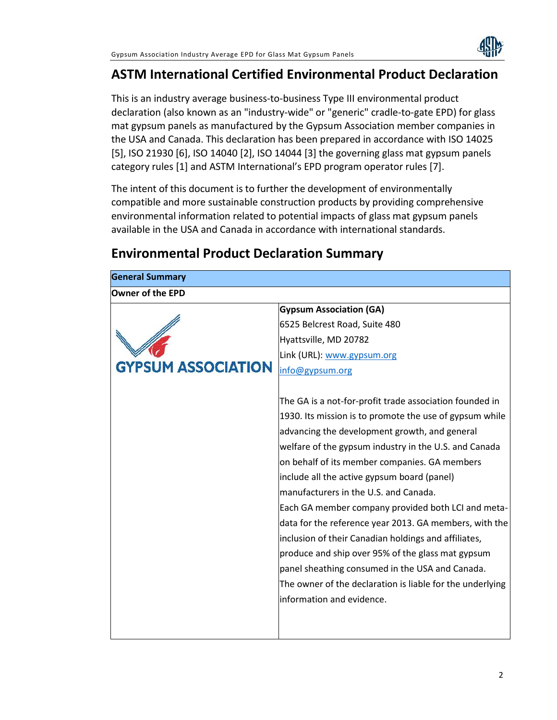

# **ASTM International Certified Environmental Product Declaration**

This is an industry average business-to-business Type III environmental product declaration (also known as an "industry-wide" or "generic" cradle-to-gate EPD) for glass mat gypsum panels as manufactured by the Gypsum Association member companies in the USA and Canada. This declaration has been prepared in accordance with ISO 14025 [5], ISO 21930 [6], ISO 14040 [2], ISO 14044 [3] the governing glass mat gypsum panels category rules [1] and ASTM International's EPD program operator rules [7].

The intent of this document is to further the development of environmentally compatible and more sustainable construction products by providing comprehensive environmental information related to potential impacts of glass mat gypsum panels available in the USA and Canada in accordance with international standards.

# **Environmental Product Declaration Summary**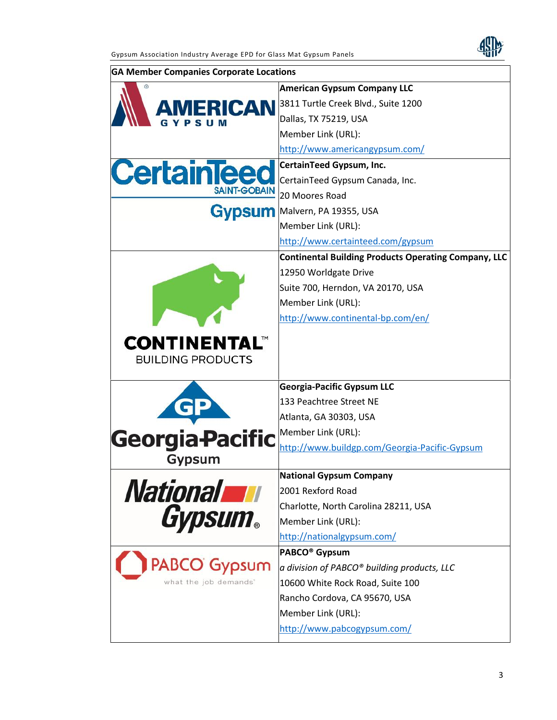

| <b>GA Member Companies Corporate Locations</b> |                                                              |
|------------------------------------------------|--------------------------------------------------------------|
|                                                | <b>American Gypsum Company LLC</b>                           |
| <b>AMERICAN</b>                                | 3811 Turtle Creek Blvd., Suite 1200                          |
|                                                | Dallas, TX 75219, USA                                        |
|                                                | Member Link (URL):                                           |
|                                                | http://www.americangypsum.com/                               |
| <b>CertainTeed</b>                             | <b>CertainTeed Gypsum, Inc.</b>                              |
|                                                | CertainTeed Gypsum Canada, Inc.                              |
| <b>SAINT-GOBAIN</b>                            | 20 Moores Road                                               |
| Gypsum                                         | Malvern, PA 19355, USA                                       |
|                                                | Member Link (URL):                                           |
|                                                | http://www.certainteed.com/gypsum                            |
|                                                | <b>Continental Building Products Operating Company, LLC</b>  |
|                                                | 12950 Worldgate Drive                                        |
|                                                | Suite 700, Herndon, VA 20170, USA                            |
|                                                | Member Link (URL):                                           |
|                                                | http://www.continental-bp.com/en/                            |
| <b>BUILDING PRODUCTS</b>                       |                                                              |
|                                                | <b>Georgia-Pacific Gypsum LLC</b><br>133 Peachtree Street NE |
|                                                |                                                              |
|                                                | Atlanta, GA 30303, USA<br>Member Link (URL):                 |
| <b>Georgia-Pacific</b>                         | http://www.buildgp.com/Georgia-Pacific-Gypsum                |
| Gypsum                                         |                                                              |
|                                                | <b>National Gypsum Company</b>                               |
| <b>National William</b>                        | 2001 Rexford Road                                            |
|                                                | Charlotte, North Carolina 28211, USA                         |
| <b>Gypsum.</b>                                 | Member Link (URL):                                           |
|                                                | http://nationalgypsum.com/                                   |
|                                                | PABCO <sup>®</sup> Gypsum                                    |
| <b>PABCO</b> Gypsum                            | a division of PABCO® building products, LLC                  |
| what the job demands"                          | 10600 White Rock Road, Suite 100                             |
|                                                | Rancho Cordova, CA 95670, USA                                |
|                                                | Member Link (URL):                                           |
|                                                | http://www.pabcogypsum.com/                                  |
|                                                |                                                              |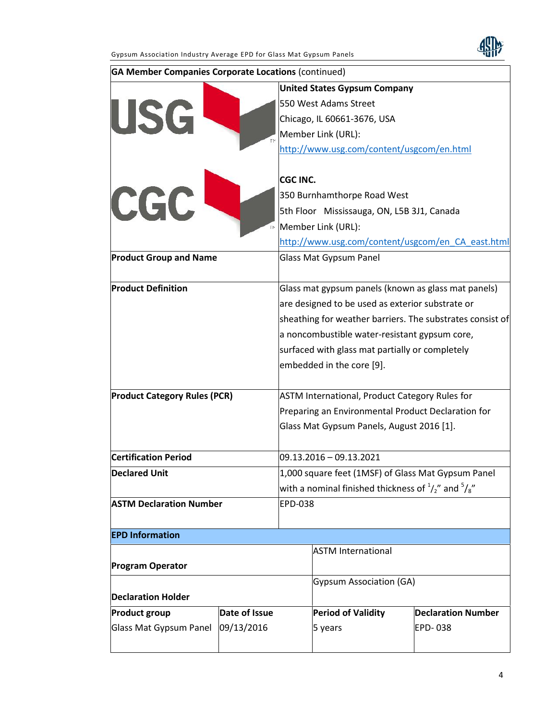

| <b>GA Member Companies Corporate Locations (continued)</b> |               |                                                                      |                                                           |                           |  |
|------------------------------------------------------------|---------------|----------------------------------------------------------------------|-----------------------------------------------------------|---------------------------|--|
|                                                            |               |                                                                      | <b>United States Gypsum Company</b>                       |                           |  |
|                                                            |               |                                                                      | 550 West Adams Street                                     |                           |  |
| <b>USG</b>                                                 |               |                                                                      | Chicago, IL 60661-3676, USA                               |                           |  |
|                                                            |               |                                                                      | Member Link (URL):                                        |                           |  |
|                                                            |               |                                                                      | http://www.usg.com/content/usgcom/en.html                 |                           |  |
|                                                            |               |                                                                      |                                                           |                           |  |
|                                                            |               | <b>CGC INC.</b>                                                      |                                                           |                           |  |
| CGC                                                        |               |                                                                      | 350 Burnhamthorpe Road West                               |                           |  |
|                                                            |               |                                                                      | 5th Floor Mississauga, ON, L5B 3J1, Canada                |                           |  |
|                                                            | ÏΜ            | Member Link (URL):                                                   |                                                           |                           |  |
|                                                            |               |                                                                      | http://www.usg.com/content/usgcom/en CA east.html         |                           |  |
| <b>Product Group and Name</b>                              |               |                                                                      | <b>Glass Mat Gypsum Panel</b>                             |                           |  |
| <b>Product Definition</b>                                  |               |                                                                      | Glass mat gypsum panels (known as glass mat panels)       |                           |  |
|                                                            |               | are designed to be used as exterior substrate or                     |                                                           |                           |  |
|                                                            |               |                                                                      | sheathing for weather barriers. The substrates consist of |                           |  |
|                                                            |               |                                                                      | a noncombustible water-resistant gypsum core,             |                           |  |
|                                                            |               | surfaced with glass mat partially or completely                      |                                                           |                           |  |
|                                                            |               |                                                                      | embedded in the core [9].                                 |                           |  |
|                                                            |               |                                                                      |                                                           |                           |  |
| <b>Product Category Rules (PCR)</b>                        |               | ASTM International, Product Category Rules for                       |                                                           |                           |  |
|                                                            |               | Preparing an Environmental Product Declaration for                   |                                                           |                           |  |
|                                                            |               | Glass Mat Gypsum Panels, August 2016 [1].                            |                                                           |                           |  |
| <b>Certification Period</b>                                |               |                                                                      | $09.13.2016 - 09.13.2021$                                 |                           |  |
| <b>Declared Unit</b>                                       |               | 1,000 square feet (1MSF) of Glass Mat Gypsum Panel                   |                                                           |                           |  |
|                                                            |               | with a nominal finished thickness of $\frac{1}{2}$ and $\frac{5}{8}$ |                                                           |                           |  |
| <b>ASTM Declaration Number</b>                             |               | <b>EPD-038</b>                                                       |                                                           |                           |  |
|                                                            |               |                                                                      |                                                           |                           |  |
| <b>EPD Information</b>                                     |               |                                                                      |                                                           |                           |  |
|                                                            |               |                                                                      | <b>ASTM International</b>                                 |                           |  |
| <b>Program Operator</b>                                    |               |                                                                      |                                                           |                           |  |
|                                                            |               | <b>Gypsum Association (GA)</b>                                       |                                                           |                           |  |
| <b>Declaration Holder</b>                                  |               |                                                                      |                                                           |                           |  |
| <b>Product group</b>                                       | Date of Issue |                                                                      | <b>Period of Validity</b>                                 | <b>Declaration Number</b> |  |
| Glass Mat Gypsum Panel                                     | 09/13/2016    |                                                                      | 5 years                                                   | <b>EPD-038</b>            |  |
|                                                            |               |                                                                      |                                                           |                           |  |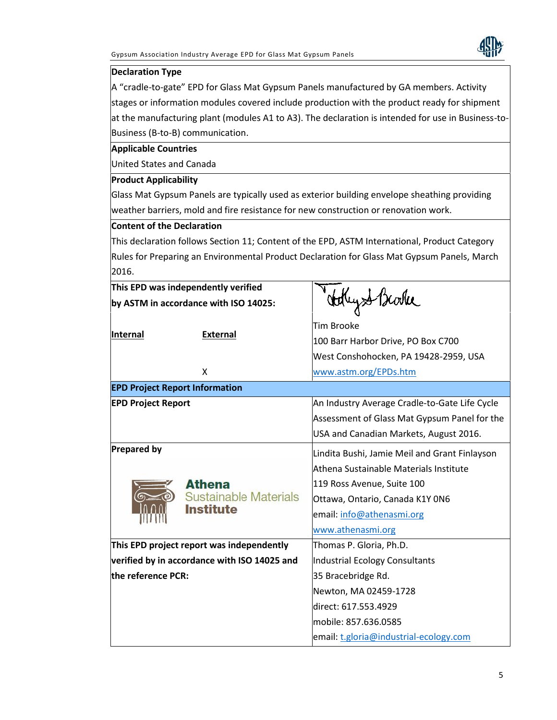

#### **Declaration Type**

A "cradle-to-gate" EPD for Glass Mat Gypsum Panels manufactured by GA members. Activity stages or information modules covered include production with the product ready for shipment at the manufacturing plant (modules A1 to A3). The declaration is intended for use in Business-to- Business (B-to-B) communication.

**Applicable Countries**

United States and Canada

#### **Product Applicability**

Glass Mat Gypsum Panels are typically used as exterior building envelope sheathing providing weather barriers, mold and fire resistance for new construction or renovation work.

#### **Content of the Declaration**

This declaration follows Section 11; Content of the EPD, ASTM International, Product Category Rules for Preparing an Environmental Product Declaration for Glass Mat Gypsum Panels, March 2016.

| This EPD was independently verified<br>by ASTM in accordance with ISO 14025: |                                              |                                               |  |  |
|------------------------------------------------------------------------------|----------------------------------------------|-----------------------------------------------|--|--|
|                                                                              |                                              | Holly & Brooke                                |  |  |
| Internal<br><b>External</b>                                                  | <b>Tim Brooke</b>                            |                                               |  |  |
|                                                                              | 100 Barr Harbor Drive, PO Box C700           |                                               |  |  |
|                                                                              | West Conshohocken, PA 19428-2959, USA        |                                               |  |  |
|                                                                              | X                                            | www.astm.org/EPDs.htm                         |  |  |
|                                                                              | <b>EPD Project Report Information</b>        |                                               |  |  |
| <b>EPD Project Report</b>                                                    |                                              | An Industry Average Cradle-to-Gate Life Cycle |  |  |
|                                                                              |                                              | Assessment of Glass Mat Gypsum Panel for the  |  |  |
|                                                                              |                                              | USA and Canadian Markets, August 2016.        |  |  |
| <b>Prepared by</b>                                                           |                                              | Lindita Bushi, Jamie Meil and Grant Finlayson |  |  |
|                                                                              | Athena Sustainable Materials Institute       |                                               |  |  |
|                                                                              | <b>Athena</b>                                | 119 Ross Avenue, Suite 100                    |  |  |
|                                                                              | Sustainable Materials                        | Ottawa, Ontario, Canada K1Y 0N6               |  |  |
|                                                                              | <b>Institute</b>                             | email: info@athenasmi.org                     |  |  |
|                                                                              |                                              | www.athenasmi.org                             |  |  |
|                                                                              | This EPD project report was independently    | Thomas P. Gloria, Ph.D.                       |  |  |
|                                                                              | verified by in accordance with ISO 14025 and | <b>Industrial Ecology Consultants</b>         |  |  |
| the reference PCR:                                                           |                                              | 35 Bracebridge Rd.                            |  |  |
|                                                                              |                                              | Newton, MA 02459-1728                         |  |  |
|                                                                              |                                              | direct: 617.553.4929                          |  |  |
|                                                                              |                                              | mobile: 857.636.0585                          |  |  |
|                                                                              |                                              | email: t.gloria@industrial-ecology.com        |  |  |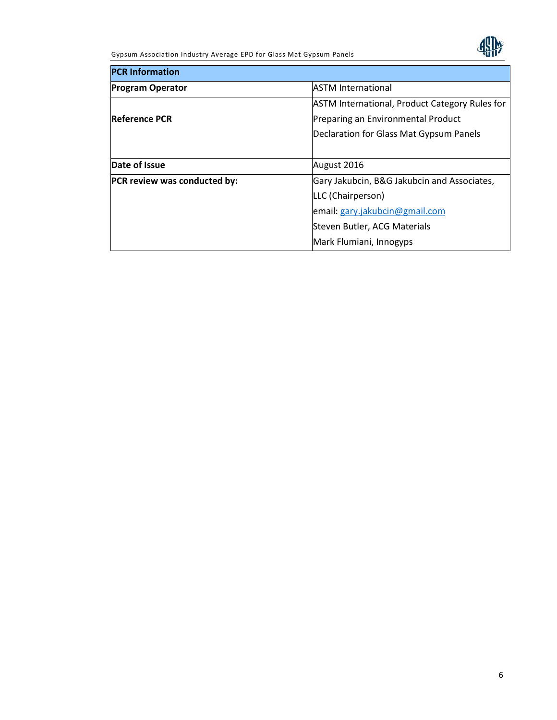Gypsum Association Industry Average EPD for Glass Mat Gypsum Panels



| <b>PCR Information</b>       |                                                       |  |  |
|------------------------------|-------------------------------------------------------|--|--|
| <b>Program Operator</b>      | <b>ASTM International</b>                             |  |  |
|                              | <b>ASTM International, Product Category Rules for</b> |  |  |
| <b>Reference PCR</b>         | Preparing an Environmental Product                    |  |  |
|                              | Declaration for Glass Mat Gypsum Panels               |  |  |
|                              |                                                       |  |  |
| Date of Issue                | August 2016                                           |  |  |
| PCR review was conducted by: | Gary Jakubcin, B&G Jakubcin and Associates,           |  |  |
|                              | LLC (Chairperson)                                     |  |  |
|                              | email: gary.jakubcin@gmail.com                        |  |  |
|                              | Steven Butler, ACG Materials                          |  |  |
|                              | Mark Flumiani, Innogyps                               |  |  |
|                              |                                                       |  |  |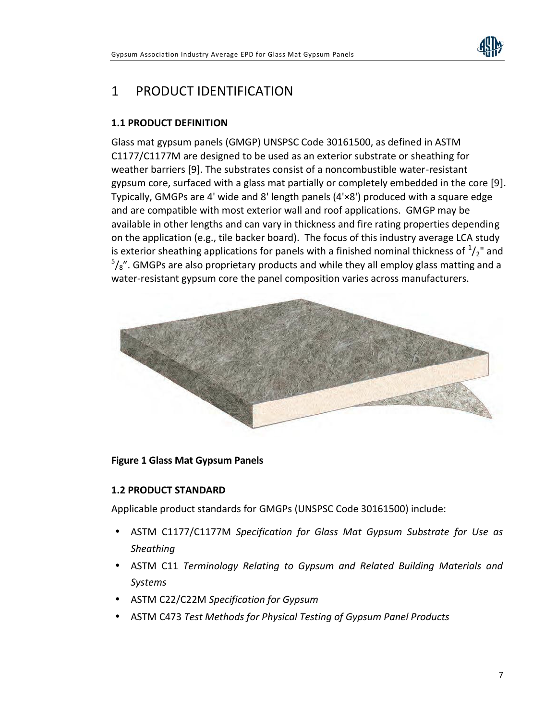

# 1 PRODUCT IDENTIFICATION

### **1.1 PRODUCT DEFINITION**

Glass mat gypsum panels (GMGP) UNSPSC Code 30161500, as defined in ASTM C1177/C1177M are designed to be used as an exterior substrate or sheathing for weather barriers [9]. The substrates consist of a noncombustible water-resistant gypsum core, surfaced with a glass mat partially or completely embedded in the core [9]. Typically, GMGPs are 4' wide and 8' length panels (4'×8') produced with a square edge and are compatible with most exterior wall and roof applications. GMGP may be available in other lengths and can vary in thickness and fire rating properties depending on the application (e.g., tile backer board). The focus of this industry average LCA study is exterior sheathing applications for panels with a finished nominal thickness of  $\frac{1}{2}$ " and  $5/8$ ". GMGPs are also proprietary products and while they all employ glass matting and a water-resistant gypsum core the panel composition varies across manufacturers.



### **Figure 1 Glass Mat Gypsum Panels**

#### **1.2 PRODUCT STANDARD**

Applicable product standards for GMGPs (UNSPSC Code 30161500) include:

- ASTM C1177/C1177M *Specification for Glass Mat Gypsum Substrate for Use as Sheathing*
- ASTM C11 *Terminology Relating to Gypsum and Related Building Materials and Systems*
- ASTM C22/C22M *Specification for Gypsum*
- ASTM C473 *Test Methods for Physical Testing of Gypsum Panel Products*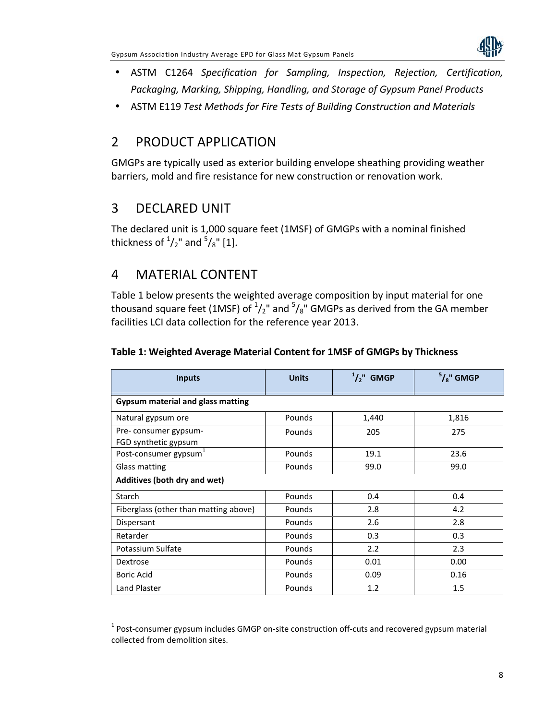

- ASTM C1264 *Specification for Sampling, Inspection, Rejection, Certification, Packaging, Marking, Shipping, Handling, and Storage of Gypsum Panel Products*
- ASTM E119 *Test Methods for Fire Tests of Building Construction and Materials*

### 2 PRODUCT APPLICATION

GMGPs are typically used as exterior building envelope sheathing providing weather barriers, mold and fire resistance for new construction or renovation work.

# 3 DECLARED UNIT

The declared unit is 1,000 square feet (1MSF) of GMGPs with a nominal finished thickness of  $^{1}/_{2}$ " and  $^{5}/_{8}$ " [1].

# 4 MATERIAL CONTENT

Table 1 below presents the weighted average composition by input material for one thousand square feet (1MSF) of  $\frac{1}{2}$ " and  $\frac{5}{8}$ " GMGPs as derived from the GA member facilities LCI data collection for the reference year 2013.

| <b>Inputs</b>                                | <b>Units</b> | $1/2$ ," GMGP | $5/8$ " GMGP |  |
|----------------------------------------------|--------------|---------------|--------------|--|
| Gypsum material and glass matting            |              |               |              |  |
| Natural gypsum ore                           | Pounds       | 1,440         | 1,816        |  |
| Pre-consumer gypsum-<br>FGD synthetic gypsum | Pounds       | 205           | 275          |  |
| Post-consumer gypsum <sup>-</sup>            | Pounds       | 19.1          | 23.6         |  |
| Glass matting                                | Pounds       | 99.0          | 99.0         |  |
| Additives (both dry and wet)                 |              |               |              |  |
| Starch                                       | Pounds       | 0.4           | 0.4          |  |
| Fiberglass (other than matting above)        | Pounds       | 2.8           | 4.2          |  |
| Dispersant                                   | Pounds       | 2.6           | 2.8          |  |
| Retarder                                     | Pounds       | 0.3           | 0.3          |  |
| Potassium Sulfate                            | Pounds       | 2.2           | 2.3          |  |
| Dextrose                                     | Pounds       | 0.01          | 0.00         |  |
| Boric Acid                                   | Pounds       | 0.09          | 0.16         |  |
| Land Plaster                                 | Pounds       | 1.2           | 1.5          |  |

### **Table 1: Weighted Average Material Content for 1MSF of GMGPs by Thickness**

 $^{1}$  Post-consumer gypsum includes GMGP on-site construction off-cuts and recovered gypsum material collected from demolition sites.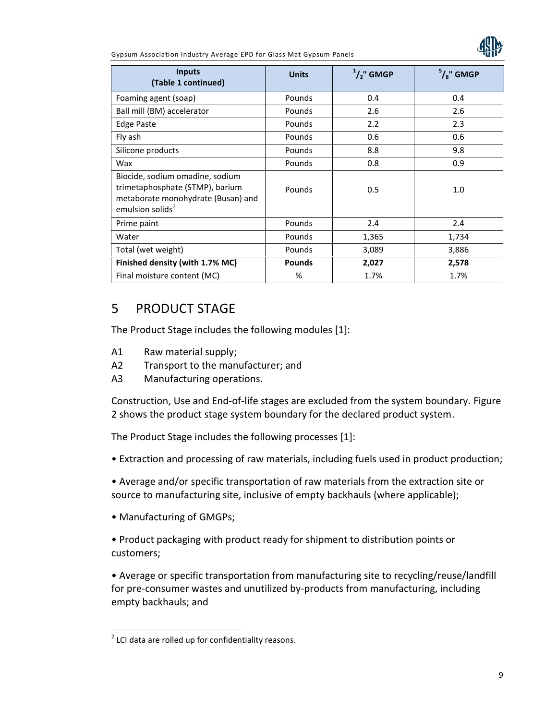Gypsum Association Industry Average EPD for Glass Mat Gypsum Panels



| <b>Inputs</b><br>(Table 1 continued)                                                                                            | <b>Units</b>  | $1/2$ " GMGP | $5/8$ " GMGP |
|---------------------------------------------------------------------------------------------------------------------------------|---------------|--------------|--------------|
| Foaming agent (soap)                                                                                                            | Pounds        | 0.4          | 0.4          |
| Ball mill (BM) accelerator                                                                                                      | Pounds        | 2.6          | 2.6          |
| <b>Edge Paste</b>                                                                                                               | Pounds        | 2.2          | 2.3          |
| Fly ash                                                                                                                         | Pounds        | 0.6          | 0.6          |
| Silicone products                                                                                                               | Pounds        | 8.8          | 9.8          |
| Wax                                                                                                                             | Pounds        | 0.8          | 0.9          |
| Biocide, sodium omadine, sodium<br>trimetaphosphate (STMP), barium<br>metaborate monohydrate (Busan) and<br>emulsion solids $2$ | Pounds        | 0.5          | 1.0          |
| Prime paint                                                                                                                     | Pounds        | 2.4          | 2.4          |
| Water                                                                                                                           | Pounds        | 1,365        | 1,734        |
| Total (wet weight)                                                                                                              | Pounds        | 3,089        | 3,886        |
| Finished density (with 1.7% MC)                                                                                                 | <b>Pounds</b> | 2,027        | 2,578        |
| Final moisture content (MC)                                                                                                     | %             | 1.7%         | 1.7%         |

### 5 PRODUCT STAGE

The Product Stage includes the following modules [1]:

- A1 Raw material supply;
- A2 Transport to the manufacturer; and
- A3 Manufacturing operations.

Construction, Use and End-of-life stages are excluded from the system boundary. Figure 2 shows the product stage system boundary for the declared product system.

The Product Stage includes the following processes [1]:

- Extraction and processing of raw materials, including fuels used in product production;
- Average and/or specific transportation of raw materials from the extraction site or source to manufacturing site, inclusive of empty backhauls (where applicable);
- Manufacturing of GMGPs;

• Product packaging with product ready for shipment to distribution points or customers;

• Average or specific transportation from manufacturing site to recycling/reuse/landfill for pre-consumer wastes and unutilized by-products from manufacturing, including empty backhauls; and

 $2$  LCI data are rolled up for confidentiality reasons.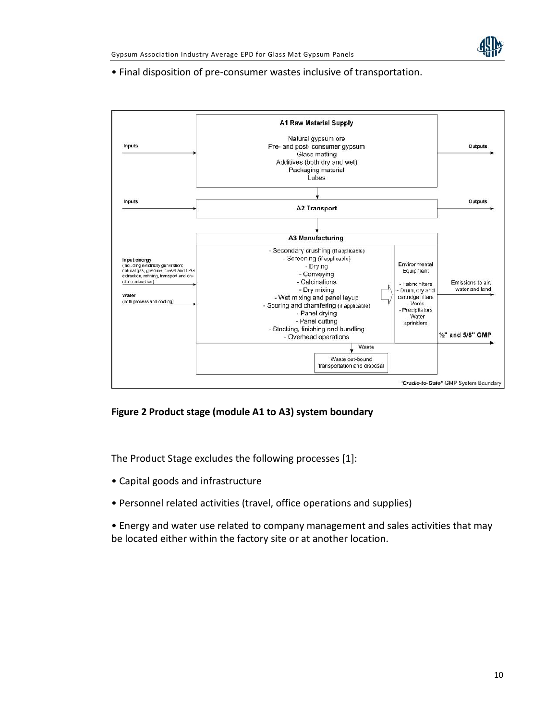

• Final disposition of pre-consumer wastes inclusive of transportation.



#### **Figure 2 Product stage (module A1 to A3) system boundary**

The Product Stage excludes the following processes [1]:

- Capital goods and infrastructure
- Personnel related activities (travel, office operations and supplies)
- Energy and water use related to company management and sales activities that may be located either within the factory site or at another location.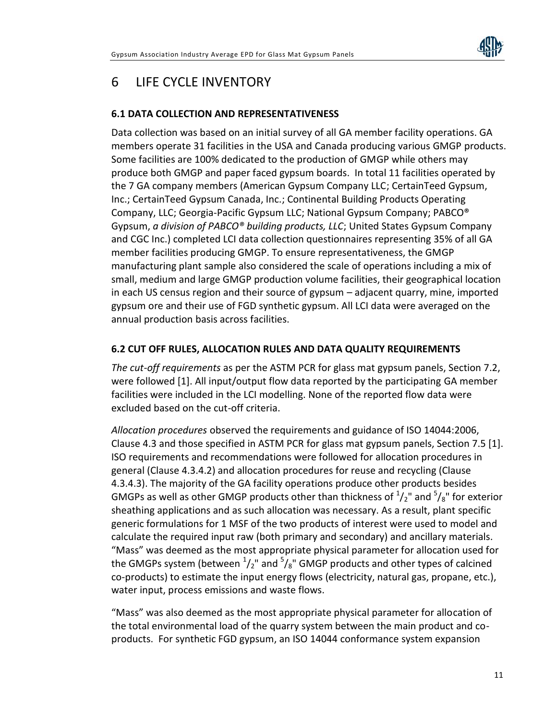

# 6 LIFE CYCLE INVENTORY

### **6.1 DATA COLLECTION AND REPRESENTATIVENESS**

Data collection was based on an initial survey of all GA member facility operations. GA members operate 31 facilities in the USA and Canada producing various GMGP products. Some facilities are 100% dedicated to the production of GMGP while others may produce both GMGP and paper faced gypsum boards. In total 11 facilities operated by the 7 GA company members (American Gypsum Company LLC; CertainTeed Gypsum, Inc.; CertainTeed Gypsum Canada, Inc.; Continental Building Products Operating Company, LLC; Georgia-Pacific Gypsum LLC; National Gypsum Company; PABCO® Gypsum, *a division of PABCO® building products, LLC*; United States Gypsum Company and CGC Inc.) completed LCI data collection questionnaires representing 35% of all GA member facilities producing GMGP. To ensure representativeness, the GMGP manufacturing plant sample also considered the scale of operations including a mix of small, medium and large GMGP production volume facilities, their geographical location in each US census region and their source of gypsum – adjacent quarry, mine, imported gypsum ore and their use of FGD synthetic gypsum. All LCI data were averaged on the annual production basis across facilities.

#### **6.2 CUT OFF RULES, ALLOCATION RULES AND DATA QUALITY REQUIREMENTS**

*The cut-off requirements* as per the ASTM PCR for glass mat gypsum panels, Section 7.2, were followed [1]. All input/output flow data reported by the participating GA member facilities were included in the LCI modelling. None of the reported flow data were excluded based on the cut-off criteria.

*Allocation procedures* observed the requirements and guidance of ISO 14044:2006, Clause 4.3 and those specified in ASTM PCR for glass mat gypsum panels, Section 7.5 [1]. ISO requirements and recommendations were followed for allocation procedures in general (Clause 4.3.4.2) and allocation procedures for reuse and recycling (Clause 4.3.4.3). The majority of the GA facility operations produce other products besides GMGPs as well as other GMGP products other than thickness of  $\frac{1}{2}$ " and  $\frac{5}{8}$ " for exterior sheathing applications and as such allocation was necessary. As a result, plant specific generic formulations for 1 MSF of the two products of interest were used to model and calculate the required input raw (both primary and secondary) and ancillary materials. "Mass" was deemed as the most appropriate physical parameter for allocation used for the GMGPs system (between  $\frac{1}{2}$ " and  $\frac{5}{8}$ " GMGP products and other types of calcined co-products) to estimate the input energy flows (electricity, natural gas, propane, etc.), water input, process emissions and waste flows.

"Mass" was also deemed as the most appropriate physical parameter for allocation of the total environmental load of the quarry system between the main product and co products. For synthetic FGD gypsum, an ISO 14044 conformance system expansion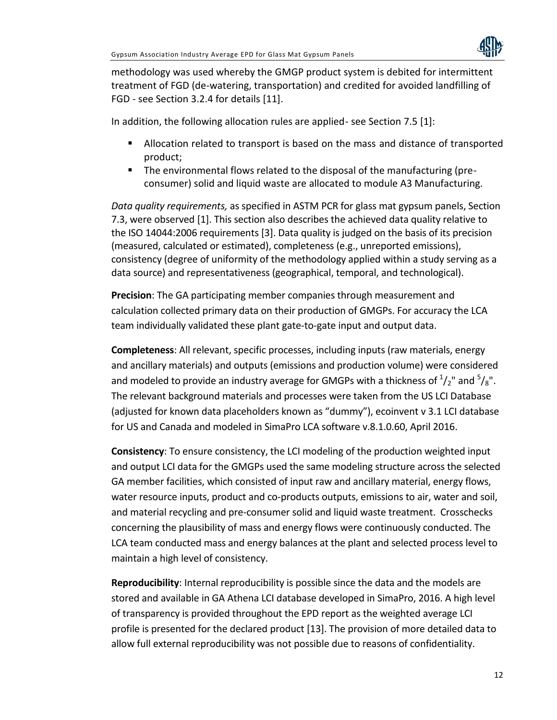

methodology was used whereby the GMGP product system is debited for intermittent treatment of FGD (de-watering, transportation) and credited for avoided landfilling of FGD - see Section 3.2.4 for details [11].

In addition, the following allocation rules are applied- see Section 7.5 [1]:

- Allocation related to transport is based on the mass and distance of transported product;
- The environmental flows related to the disposal of the manufacturing (pre consumer) solid and liquid waste are allocated to module A3 Manufacturing.

*Data quality requirements,* as specified in ASTM PCR for glass mat gypsum panels, Section 7.3, were observed [1]. This section also describes the achieved data quality relative to the ISO 14044:2006 requirements [3]. Data quality is judged on the basis of its precision (measured, calculated or estimated), completeness (e.g., unreported emissions), consistency (degree of uniformity of the methodology applied within a study serving as a data source) and representativeness (geographical, temporal, and technological).

**Precision**: The GA participating member companies through measurement and calculation collected primary data on their production of GMGPs. For accuracy the LCA team individually validated these plant gate-to-gate input and output data.

**Completeness**: All relevant, specific processes, including inputs (raw materials, energy and ancillary materials) and outputs (emissions and production volume) were considered and modeled to provide an industry average for GMGPs with a thickness of  $\frac{1}{2}$ " and  $\frac{5}{8}$ ".<br>The relevant background materials and processes were taken from the US LCI Database (adjusted for known data placeholders known as "dummy"), ecoinvent v 3.1 LCI database for US and Canada and modeled in SimaPro LCA software v.8.1.0.60, April 2016.

**Consistency**: To ensure consistency, the LCI modeling of the production weighted input and output LCI data for the GMGPs used the same modeling structure across the selected GA member facilities, which consisted of input raw and ancillary material, energy flows, water resource inputs, product and co-products outputs, emissions to air, water and soil, and material recycling and pre-consumer solid and liquid waste treatment. Crosschecks concerning the plausibility of mass and energy flows were continuously conducted. The LCA team conducted mass and energy balances at the plant and selected process level to maintain a high level of consistency.

**Reproducibility**: Internal reproducibility is possible since the data and the models are stored and available in GA Athena LCI database developed in SimaPro, 2016. A high level of transparency is provided throughout the EPD report as the weighted average LCI profile is presented for the declared product [13]. The provision of more detailed data to allow full external reproducibility was not possible due to reasons of confidentiality.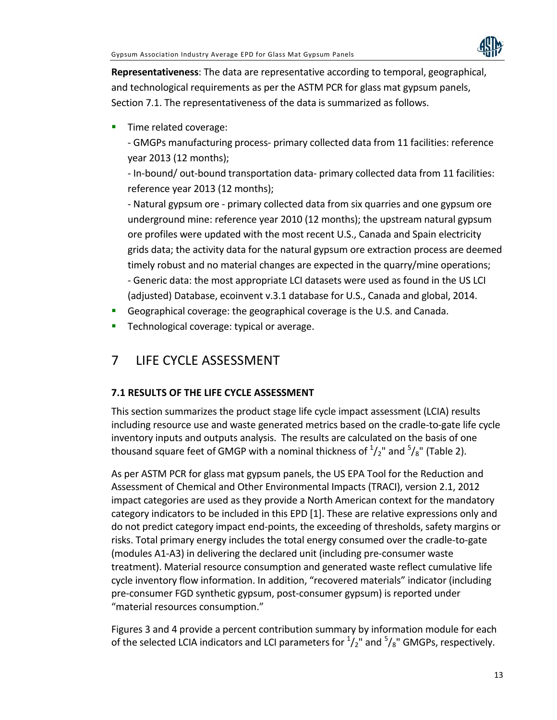

**Representativeness**: The data are representative according to temporal, geographical, and technological requirements as per the ASTM PCR for glass mat gypsum panels, Section 7.1. The representativeness of the data is summarized as follows.

**Time related coverage:** 

- GMGPs manufacturing process- primary collected data from 11 facilities: reference year 2013 (12 months);

- In-bound/ out-bound transportation data- primary collected data from 11 facilities: reference year 2013 (12 months);

- Natural gypsum ore - primary collected data from six quarries and one gypsum ore underground mine: reference year 2010 (12 months); the upstream natural gypsum ore profiles were updated with the most recent U.S., Canada and Spain electricity grids data; the activity data for the natural gypsum ore extraction process are deemed timely robust and no material changes are expected in the quarry/mine operations; - Generic data: the most appropriate LCI datasets were used as found in the US LCI (adjusted) Database, ecoinvent v.3.1 database for U.S., Canada and global, 2014.

- Geographical coverage: the geographical coverage is the U.S. and Canada.
- **Technological coverage: typical or average.**

# 7 LIFE CYCLE ASSESSMENT

### **7.1 RESULTS OF THE LIFE CYCLE ASSESSMENT**

This section summarizes the product stage life cycle impact assessment (LCIA) results including resource use and waste generated metrics based on the cradle-to-gate life cycle inventory inputs and outputs analysis. The results are calculated on the basis of one thousand square feet of GMGP with a nominal thickness of  $\frac{1}{2}$ " and  $\frac{5}{8}$ " (Table 2).

As per ASTM PCR for glass mat gypsum panels, the US EPA Tool for the Reduction and Assessment of Chemical and Other Environmental Impacts (TRACI), version 2.1, 2012 impact categories are used as they provide a North American context for the mandatory category indicators to be included in this EPD [1]. These are relative expressions only and do not predict category impact end-points, the exceeding of thresholds, safety margins or risks. Total primary energy includes the total energy consumed over the cradle-to-gate (modules A1-A3) in delivering the declared unit (including pre-consumer waste treatment). Material resource consumption and generated waste reflect cumulative life cycle inventory flow information. In addition, "recovered materials" indicator (including pre-consumer FGD synthetic gypsum, post-consumer gypsum) is reported under "material resources consumption."

Figures 3 and 4 provide a percent contribution summary by information module for each of the selected LCIA indicators and LCI parameters for  $\frac{1}{2}$ " and  $\frac{5}{8}$ " GMGPs, respectively.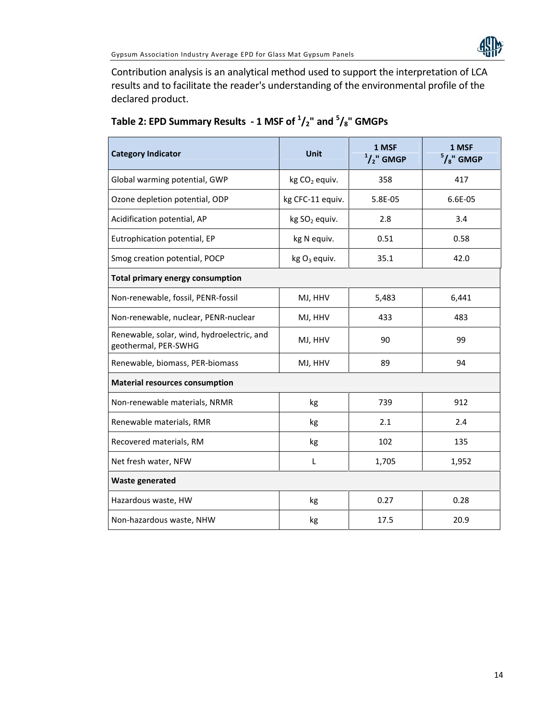Contribution analysis is an analytical method used to support the interpretation of LCA results and to facilitate the reader's understanding of the environmental profile of the declared product.

| <b>Category Indicator</b>                                          | <b>Unit</b>               | 1 MSF<br>$1/2$ " GMGP | 1 MSF<br>$5/8$ " GMGP |  |  |
|--------------------------------------------------------------------|---------------------------|-----------------------|-----------------------|--|--|
| Global warming potential, GWP                                      | kg CO <sub>2</sub> equiv. | 358                   | 417                   |  |  |
| Ozone depletion potential, ODP                                     | kg CFC-11 equiv.          | 5.8E-05               | 6.6E-05               |  |  |
| Acidification potential, AP                                        | kg SO <sub>2</sub> equiv. | 2.8                   | 3.4                   |  |  |
| Eutrophication potential, EP                                       | kg N equiv.               | 0.51                  | 0.58                  |  |  |
| Smog creation potential, POCP                                      | kg $O_3$ equiv.           | 35.1                  | 42.0                  |  |  |
| <b>Total primary energy consumption</b>                            |                           |                       |                       |  |  |
| Non-renewable, fossil, PENR-fossil                                 | MJ, HHV                   | 5,483                 | 6,441                 |  |  |
| Non-renewable, nuclear, PENR-nuclear                               | MJ, HHV                   | 433                   | 483                   |  |  |
| Renewable, solar, wind, hydroelectric, and<br>geothermal, PER-SWHG | MJ, HHV                   | 90                    | 99                    |  |  |
| Renewable, biomass, PER-biomass                                    | MJ, HHV                   | 89                    | 94                    |  |  |
| <b>Material resources consumption</b>                              |                           |                       |                       |  |  |
| Non-renewable materials, NRMR                                      | kg                        | 739                   | 912                   |  |  |
| Renewable materials, RMR                                           | kg                        | 2.1                   | 2.4                   |  |  |
| Recovered materials, RM                                            | kg                        | 102                   | 135                   |  |  |
| Net fresh water, NFW                                               | L                         | 1,705                 | 1,952                 |  |  |
| <b>Waste generated</b>                                             |                           |                       |                       |  |  |
| Hazardous waste, HW                                                | kg                        | 0.27                  | 0.28                  |  |  |
| Non-hazardous waste, NHW                                           | kg                        | 17.5                  | 20.9                  |  |  |

# **Table 2: EPD Summary Results - 1 MSF of <sup>1</sup>/2" and <sup>5</sup>/8" GMGPs**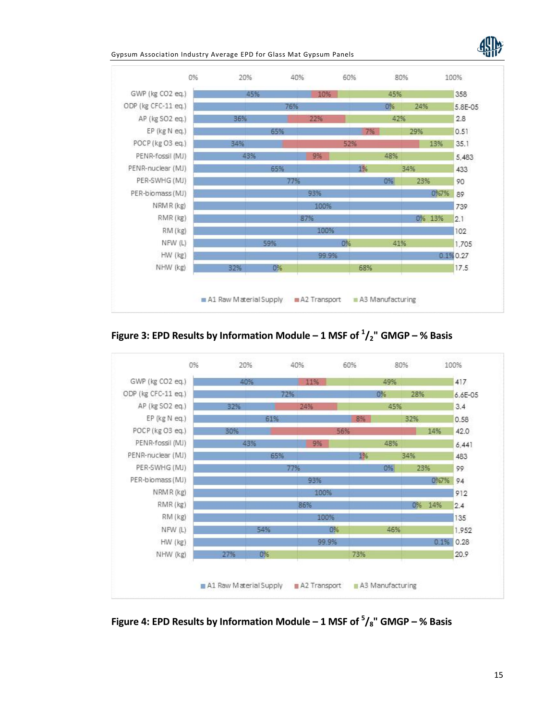

Gypsum Association Industry Average EPD for Glass Mat Gypsum Panels



**Figure 3: EPD Results by Information Module – 1 MSF of <sup>1</sup>/2" GMGP – % Basis**



**Figure 4: EPD Results by Information Module – 1 MSF of <sup>5</sup>/8" GMGP – % Basis**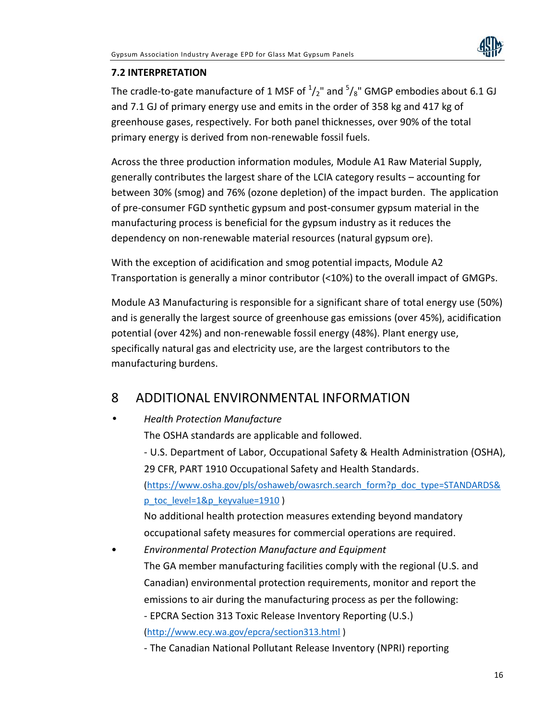

### **7.2 INTERPRETATION**

The cradle-to-gate manufacture of 1 MSF of  $\frac{1}{2}$ " and  $\frac{5}{8}$ " GMGP embodies about 6.1 GJ and 7.1 GJ of primary energy use and emits in the order of 358 kg and 417 kg of greenhouse gases, respectively. For both panel thicknesses, over 90% of the total primary energy is derived from non-renewable fossil fuels.

Across the three production information modules, Module A1 Raw Material Supply, generally contributes the largest share of the LCIA category results – accounting for between 30% (smog) and 76% (ozone depletion) of the impact burden. The application of pre-consumer FGD synthetic gypsum and post-consumer gypsum material in the manufacturing process is beneficial for the gypsum industry as it reduces the dependency on non-renewable material resources (natural gypsum ore).

With the exception of acidification and smog potential impacts, Module A2 Transportation is generally a minor contributor (<10%) to the overall impact of GMGPs.

Module A3 Manufacturing is responsible for a significant share of total energy use (50%) and is generally the largest source of greenhouse gas emissions (over 45%), acidification potential (over 42%) and non-renewable fossil energy (48%). Plant energy use, specifically natural gas and electricity use, are the largest contributors to the manufacturing burdens.

### 8 ADDITIONAL ENVIRONMENTAL INFORMATION

### *Health Protection Manufacture*

The OSHA standards are applicable and followed.

- U.S. Department of Labor, Occupational Safety & Health Administration (OSHA), 29 CFR, PART 1910 Occupational Safety and Health Standards. (https://www.osha.gov/pls/oshaweb/owasrch.search\_form?p\_doc\_type=STANDARDS& p\_toc\_level=1&p\_keyvalue=1910 )

No additional health protection measures extending beyond mandatory occupational safety measures for commercial operations are required.

• *Environmental Protection Manufacture and Equipment* The GA member manufacturing facilities comply with the regional (U.S. and Canadian) environmental protection requirements, monitor and report the emissions to air during the manufacturing process as per the following: - EPCRA Section 313 Toxic Release Inventory Reporting (U.S.) (http://www.ecy.wa.gov/epcra/section313.html )

- The Canadian National Pollutant Release Inventory (NPRI) reporting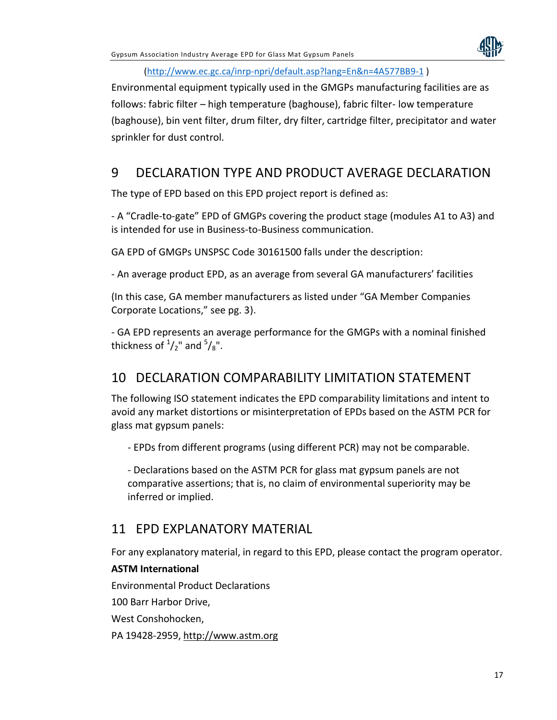

#### (http://www.ec.gc.ca/inrp-npri/default.asp?lang=En&n=4A577BB9-1 )

Environmental equipment typically used in the GMGPs manufacturing facilities are as follows: fabric filter – high temperature (baghouse), fabric filter- low temperature (baghouse), bin vent filter, drum filter, dry filter, cartridge filter, precipitator and water sprinkler for dust control.

## 9 DECLARATION TYPE AND PRODUCT AVERAGE DECLARATION

The type of EPD based on this EPD project report is defined as:

- A "Cradle-to-gate" EPD of GMGPs covering the product stage (modules A1 to A3) and is intended for use in Business-to-Business communication.

GA EPD of GMGPs UNSPSC Code 30161500 falls under the description:

- An average product EPD, as an average from several GA manufacturers' facilities

(In this case, GA member manufacturers as listed under "GA Member Companies Corporate Locations," see pg. 3).

- GA EPD represents an average performance for the GMGPs with a nominal finished thickness of  $\frac{1}{2}$ " and  $\frac{5}{8}$ ".

### 10 DECLARATION COMPARABILITY LIMITATION STATEMENT

The following ISO statement indicates the EPD comparability limitations and intent to avoid any market distortions or misinterpretation of EPDs based on the ASTM PCR for glass mat gypsum panels:

- EPDs from different programs (using different PCR) may not be comparable.

- Declarations based on the ASTM PCR for glass mat gypsum panels are not comparative assertions; that is, no claim of environmental superiority may be inferred or implied.

### 11 EPD EXPLANATORY MATERIAL

For any explanatory material, in regard to this EPD, please contact the program operator.

### **ASTM International**

Environmental Product Declarations

100 Barr Harbor Drive,

West Conshohocken,

PA 19428-2959, http://www.astm.org